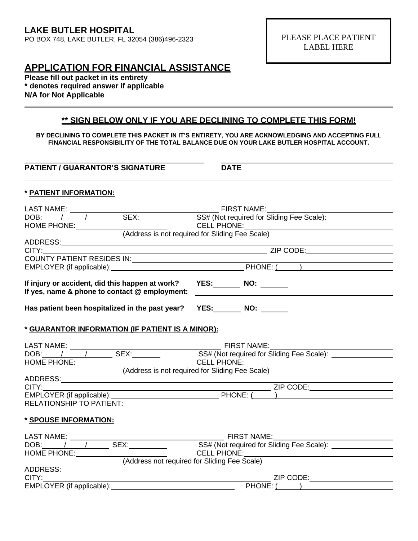## **APPLICATION FOR FINANCIAL ASSISTANCE**

**Please fill out packet in its entirety \* denotes required answer if applicable N/A for Not Applicable**

## **\*\* SIGN BELOW ONLY IF YOU ARE DECLINING TO COMPLETE THIS FORM!**

**BY DECLINING TO COMPLETE THIS PACKET IN IT'S ENTIRETY, YOU ARE ACKNOWLEDGING AND ACCEPTING FULL FINANCIAL RESPONSIBILITY OF THE TOTAL BALANCE DUE ON YOUR LAKE BUTLER HOSPITAL ACCOUNT.**

**PATIENT / GUARANTOR'S SIGNATURE DATE** 

## **\* PATIENT INFORMATION:**

| HOME PHONE: CELL PHONE: CELL PHONE: CELL PHONE:                                                                                                                                                                                | CELL PHONE: WE ARE A PARTICULAR AND THE ANNUAL CONTRACTOR          |  |  |  |  |  |
|--------------------------------------------------------------------------------------------------------------------------------------------------------------------------------------------------------------------------------|--------------------------------------------------------------------|--|--|--|--|--|
|                                                                                                                                                                                                                                |                                                                    |  |  |  |  |  |
|                                                                                                                                                                                                                                |                                                                    |  |  |  |  |  |
| CITY: Expression of the state of the state of the state of the state of the state of the state of the state of the state of the state of the state of the state of the state of the state of the state of the state of the sta |                                                                    |  |  |  |  |  |
|                                                                                                                                                                                                                                |                                                                    |  |  |  |  |  |
|                                                                                                                                                                                                                                |                                                                    |  |  |  |  |  |
| If injury or accident, did this happen at work? YES: NO: NO:<br>If yes, name & phone to contact @ employment: __________________________________                                                                               |                                                                    |  |  |  |  |  |
| Has patient been hospitalized in the past year? YES: NO: NO:                                                                                                                                                                   |                                                                    |  |  |  |  |  |
| * GUARANTOR INFORMATION (IF PATIENT IS A MINOR):                                                                                                                                                                               |                                                                    |  |  |  |  |  |
|                                                                                                                                                                                                                                |                                                                    |  |  |  |  |  |
|                                                                                                                                                                                                                                |                                                                    |  |  |  |  |  |
|                                                                                                                                                                                                                                |                                                                    |  |  |  |  |  |
|                                                                                                                                                                                                                                |                                                                    |  |  |  |  |  |
|                                                                                                                                                                                                                                |                                                                    |  |  |  |  |  |
|                                                                                                                                                                                                                                |                                                                    |  |  |  |  |  |
| RELATIONSHIP TO PATIENT: THE RELATIONSHIP TO PATIENT:                                                                                                                                                                          |                                                                    |  |  |  |  |  |
| * SPOUSE INFORMATION:                                                                                                                                                                                                          |                                                                    |  |  |  |  |  |
|                                                                                                                                                                                                                                |                                                                    |  |  |  |  |  |
|                                                                                                                                                                                                                                |                                                                    |  |  |  |  |  |
|                                                                                                                                                                                                                                |                                                                    |  |  |  |  |  |
|                                                                                                                                                                                                                                |                                                                    |  |  |  |  |  |
|                                                                                                                                                                                                                                |                                                                    |  |  |  |  |  |
| CITY:                                                                                                                                                                                                                          | <u> 1989 - Jan Samuel Barbara, margaret eta idazlea (h. 1989).</u> |  |  |  |  |  |
|                                                                                                                                                                                                                                | PHONE: ( )                                                         |  |  |  |  |  |